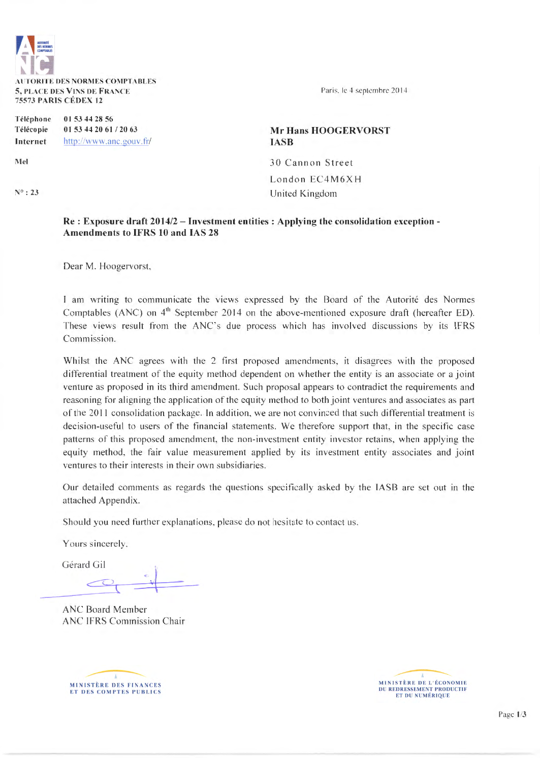

Téléphone 01 53 44 28 56 Télécopie Internet 01 53 44 20 61 / 20 63 http://www.anc.gouv.fr/

Mel

 $N^o: 23$ 

# Mr Hans HOOGERVORST IASB

30 Cannon Street London EC4M6X H United Kingdom

#### Re: Exposure draft 2014/2- Investment entities : Applying the consolidation exception-Amendments to IFRS 10 and lAS 28

Dear M. Hoogervorst,

1 am wntmg to communicate the views expressed by the Board of the Autorité des Normes Comptables (ANC) on  $4<sup>th</sup>$  September 2014 on the above-mentioned exposure draft (hereafter ED). These views result from the ANC's due process which has involved discussions by its IFRS Commission.

Whilst the ANC agrees with the 2 first proposed amendments, it disagrees with the proposed differentiai treatment of the equity method dependent on whether the entity is an associate or a joint venture as proposed in its third amendment. Such proposai appears to contradict the requirements and reasoning for aligning the application of the equity method to both joint ventures and associates as part of the 2011 consolidation package. In addition, we are not convinced that such differential treatment is decision-useful to users of the financial statements. We therefore support that, in the specific case patterns of this proposed amendment, the non-investment entity investor retains, when applying the equity method, the fair value measurement applied by its investment entity associates and joint ventures to their interests in their own subsidiaries.

Our detailed comments as regards the questions specifically asked by the IASB are set out in the attached Appendix.

Should you need further explanations, please do not hesitate to contact us.

Yours sincerely.

Gérard Gil

ANC Board Member ANC IFRS Commission Chair



MINISTÈRE DE L'ÉCONOMIE<br>DU REDRESSEMENT PRODUCTIF ET DU NUMÉRIQUE

Page 1/3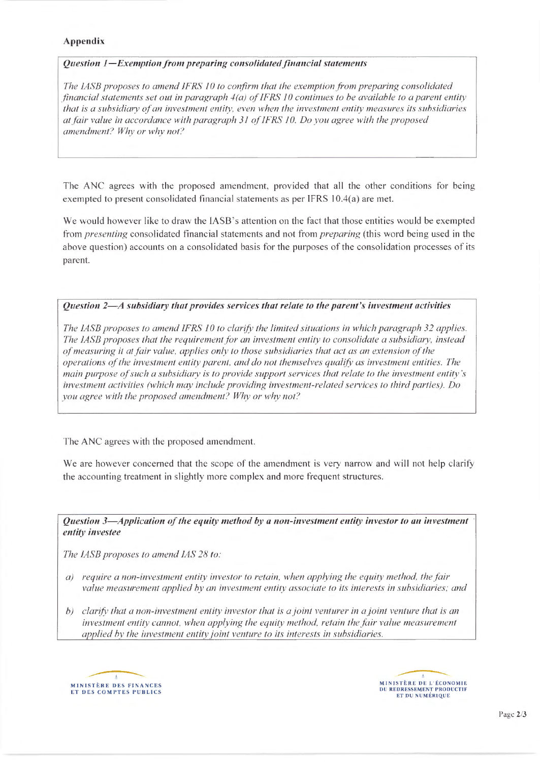# Appendix

#### *Question 1-Exemption from preparing consolidated financial statements*

*The* JASE *proposes to amend* JFR.S JO *to conjirm thatthe exemption from preparing consolidated financial statements set out in paragraph 4(a) of IFRS 10 continues to be available to a parent entity thal is a subsidiary of an inveslmenl entity. even when the investmenl entity measures ils subsidiaries at fair value in accordance with paragraph* 3J *of* IFRS JO. *Do you agree with the proposed amendment? Why or why not?* 

The ANC agrees with the proposed amendment, provided that ali the other conditions for being exempted to present consolidated financial statements as per IFRS 10.4(a) are met.

We would however like to draw the IASB's attention on the fact that those entities would be exempted from *presenting* consolidated financial statements and not from *preparing* (this word being used in the above question) accounts on a consolidated basis for the purposes of the consolidation processes of its parent.

# *Question 2-A subsidiary thal provides services thal relate lo the parent's investmenl activities*

*The LASB proposes to amend IFRS 10 to clarify the limited situations in which paragraph 32 applies. The IASB proposes that the requirement for an investment entity to consolidate a subsidiary, instead of measuring il at fair value, applies on/y to those subsidiaries thal act as an extension of the operations of the inveslmenl entity parent, and do notthemselves qualify as investmenl enlilies. The main purpose ofsuch a subsidiary is lo provide support services thal relate to the investmenl entity 's inveslment activities (which may inc/ude providing inveslment-related services to third parties). Do you agree with the proposed amendment? Why or why not?* 

The ANC agrees with the proposed amendment.

We are however concerned that the scope of the amendment is very narrow and will not help clarify the accounting treatment in slightly more complex and more frequent structures.

*Question 3—Application of the equity method by a non-investment entity investor to an investment entity investee* 

*The* JASE *proposes to amend* JAS *28 to:* 

- *a)* require a non-investment entity investor to retain, when applying the equity method, the fair *value measurement applied by an inveslmenl enlity associale to ils interests in suhsidiaries; and*
- *b) c/arify thal a non-investment entify investor thal is a joint venturer in a joint venture thal is an investment entity cannot, when applying the equity method, retain the fair value measurement applied by the investment entity joint venture to its interests in subsidiaries.*



MINISTÈRE DE L'ÉCONOMIE<br>DU REDRESSEMENT PRODUCTIF ET DU NUMÉRIQUE